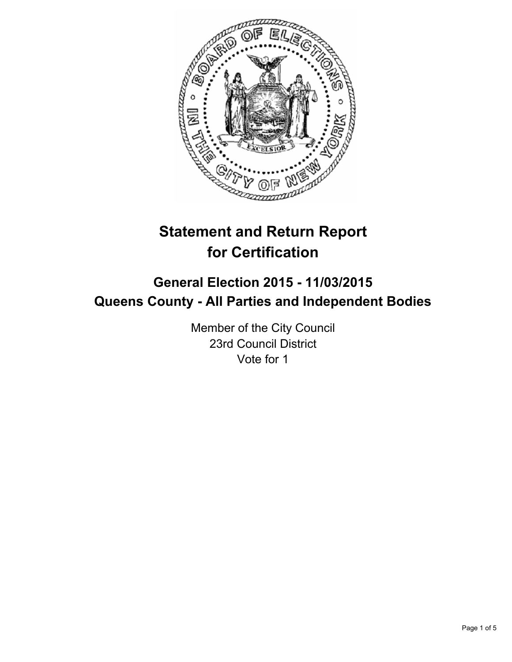

# **Statement and Return Report for Certification**

## **General Election 2015 - 11/03/2015 Queens County - All Parties and Independent Bodies**

Member of the City Council 23rd Council District Vote for 1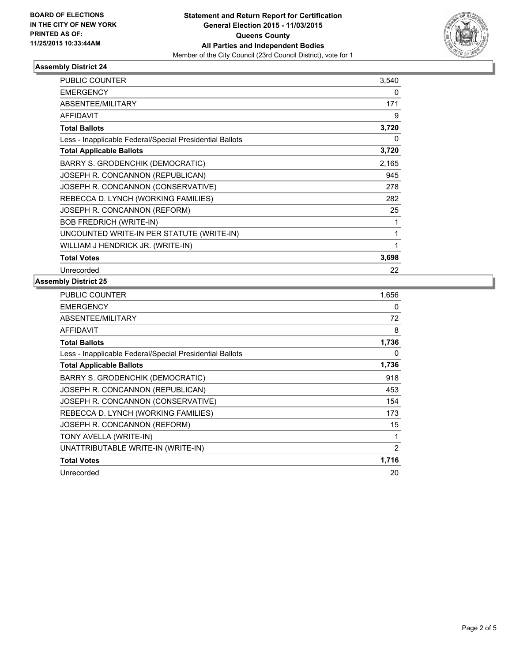

## **Assembly District 24**

| <b>PUBLIC COUNTER</b>                                    | 3,540 |
|----------------------------------------------------------|-------|
| <b>EMERGENCY</b>                                         | 0     |
| ABSENTEE/MILITARY                                        | 171   |
| <b>AFFIDAVIT</b>                                         | 9     |
| <b>Total Ballots</b>                                     | 3,720 |
| Less - Inapplicable Federal/Special Presidential Ballots | 0     |
| <b>Total Applicable Ballots</b>                          | 3,720 |
| BARRY S. GRODENCHIK (DEMOCRATIC)                         | 2,165 |
| JOSEPH R. CONCANNON (REPUBLICAN)                         | 945   |
| JOSEPH R. CONCANNON (CONSERVATIVE)                       | 278   |
| REBECCA D. LYNCH (WORKING FAMILIES)                      | 282   |
| JOSEPH R. CONCANNON (REFORM)                             | 25    |
| <b>BOB FREDRICH (WRITE-IN)</b>                           | 1     |
| UNCOUNTED WRITE-IN PER STATUTE (WRITE-IN)                | 1     |
| WILLIAM J HENDRICK JR. (WRITE-IN)                        | 1     |
| <b>Total Votes</b>                                       | 3,698 |
| Unrecorded                                               | 22    |

## **Assembly District 25**

| PUBLIC COUNTER                                           | 1,656 |
|----------------------------------------------------------|-------|
| <b>EMERGENCY</b>                                         | 0     |
| ABSENTEE/MILITARY                                        | 72    |
| AFFIDAVIT                                                | 8     |
| <b>Total Ballots</b>                                     | 1,736 |
| Less - Inapplicable Federal/Special Presidential Ballots | 0     |
| <b>Total Applicable Ballots</b>                          | 1,736 |
| BARRY S. GRODENCHIK (DEMOCRATIC)                         | 918   |
| JOSEPH R. CONCANNON (REPUBLICAN)                         | 453   |
| JOSEPH R. CONCANNON (CONSERVATIVE)                       | 154   |
| REBECCA D. LYNCH (WORKING FAMILIES)                      | 173   |
| JOSEPH R. CONCANNON (REFORM)                             | 15    |
| TONY AVELLA (WRITE-IN)                                   | 1     |
| UNATTRIBUTABLE WRITE-IN (WRITE-IN)                       | 2     |
| <b>Total Votes</b>                                       | 1,716 |
| Unrecorded                                               | 20    |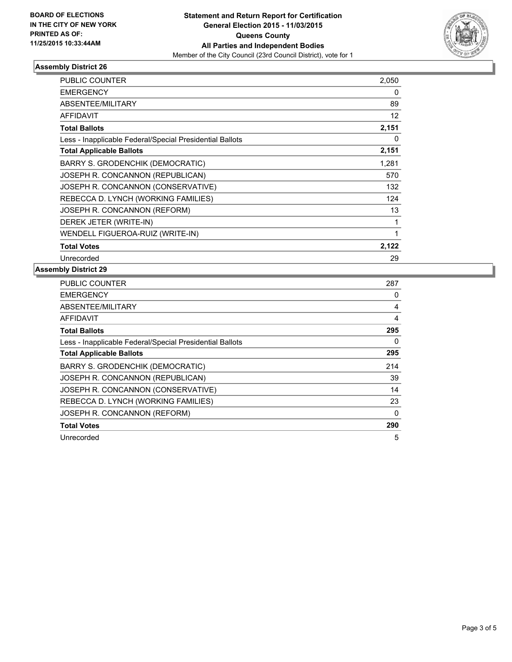

#### **Assembly District 26**

| <b>PUBLIC COUNTER</b>                                    | 2,050 |
|----------------------------------------------------------|-------|
| <b>EMERGENCY</b>                                         | 0     |
| ABSENTEE/MILITARY                                        | 89    |
| <b>AFFIDAVIT</b>                                         | 12    |
| <b>Total Ballots</b>                                     | 2,151 |
| Less - Inapplicable Federal/Special Presidential Ballots | 0     |
| <b>Total Applicable Ballots</b>                          | 2,151 |
| <b>BARRY S. GRODENCHIK (DEMOCRATIC)</b>                  | 1,281 |
| JOSEPH R. CONCANNON (REPUBLICAN)                         | 570   |
| JOSEPH R. CONCANNON (CONSERVATIVE)                       | 132   |
| REBECCA D. LYNCH (WORKING FAMILIES)                      | 124   |
| JOSEPH R. CONCANNON (REFORM)                             | 13    |
| DEREK JETER (WRITE-IN)                                   | 1     |
| WENDELL FIGUEROA-RUIZ (WRITE-IN)                         | 1     |
| <b>Total Votes</b>                                       | 2,122 |
| Unrecorded                                               | 29    |

#### **Assembly District 29**

| <b>PUBLIC COUNTER</b>                                    | 287 |
|----------------------------------------------------------|-----|
| <b>EMERGENCY</b>                                         | 0   |
| ABSENTEE/MILITARY                                        | 4   |
| AFFIDAVIT                                                | 4   |
| <b>Total Ballots</b>                                     | 295 |
| Less - Inapplicable Federal/Special Presidential Ballots | 0   |
| <b>Total Applicable Ballots</b>                          | 295 |
| <b>BARRY S. GRODENCHIK (DEMOCRATIC)</b>                  | 214 |
| JOSEPH R. CONCANNON (REPUBLICAN)                         | 39  |
| JOSEPH R. CONCANNON (CONSERVATIVE)                       | 14  |
| REBECCA D. LYNCH (WORKING FAMILIES)                      | 23  |
| JOSEPH R. CONCANNON (REFORM)                             | 0   |
| <b>Total Votes</b>                                       | 290 |
| Unrecorded                                               | 5   |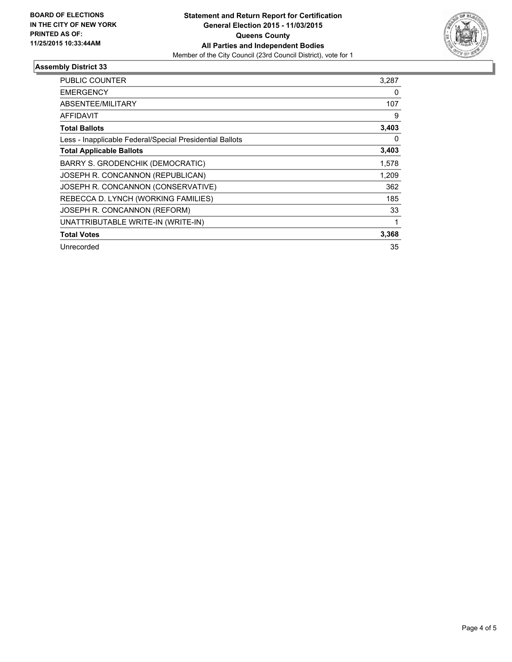

## **Assembly District 33**

| PUBLIC COUNTER                                           | 3,287 |
|----------------------------------------------------------|-------|
| <b>EMERGENCY</b>                                         | 0     |
| <b>ABSENTEE/MILITARY</b>                                 | 107   |
| <b>AFFIDAVIT</b>                                         | 9     |
| <b>Total Ballots</b>                                     | 3,403 |
| Less - Inapplicable Federal/Special Presidential Ballots | 0     |
| <b>Total Applicable Ballots</b>                          | 3,403 |
| BARRY S. GRODENCHIK (DEMOCRATIC)                         | 1,578 |
| JOSEPH R. CONCANNON (REPUBLICAN)                         | 1,209 |
| JOSEPH R. CONCANNON (CONSERVATIVE)                       | 362   |
| REBECCA D. LYNCH (WORKING FAMILIES)                      | 185   |
| JOSEPH R. CONCANNON (REFORM)                             | 33    |
| UNATTRIBUTABLE WRITE-IN (WRITE-IN)                       | 1     |
| <b>Total Votes</b>                                       | 3,368 |
| Unrecorded                                               | 35    |